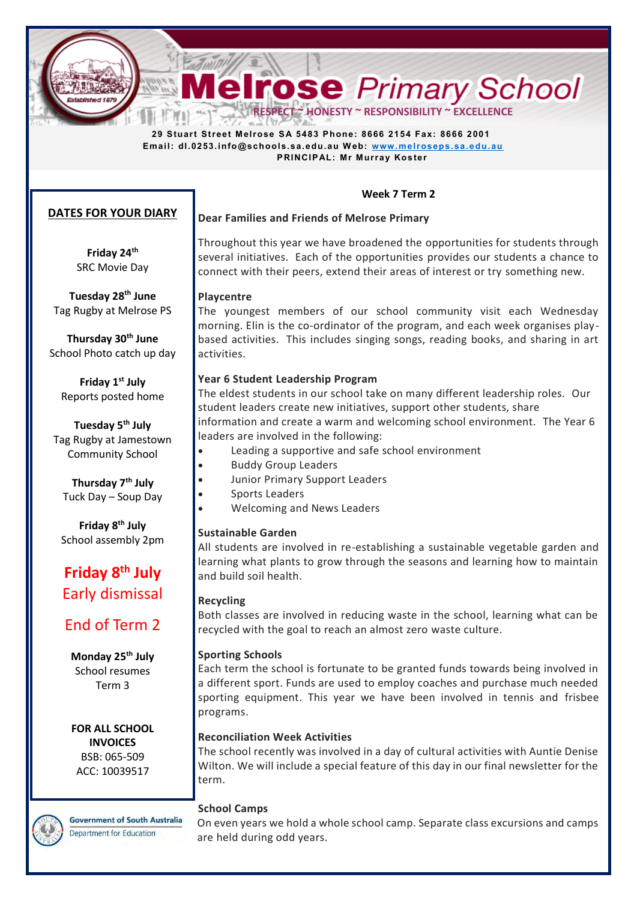**Melrose** Primary School

 **29 Stuart Street Melrose SA 5483 Phone: 8666 2154 Fax: 8666 2001 Email: dl.0253.info@schools.sa.edu.au W eb: [www.melroseps.sa.edu.au](http://www.melroseps.sa.edu.au/) PRINCIPAL: Mr Murray Koster** 

## **Week 7 Term 2**

## **DATES FOR YOUR DIARY**

**Friday 24th** SRC Movie Day

**Tuesday 28th June**  Tag Rugby at Melrose PS

**Thursday 30th June**  School Photo catch up day

**Friday 1 st July**  Reports posted home

**Tuesday 5th July**  Tag Rugby at Jamestown Community School

**Thursday 7th July**  Tuck Day – Soup Day

**Friday 8 th July**  School assembly 2pm

# **Friday 8th July**  Early dismissal

# End of Term 2

**Monday 25th July**  School resumes Term 3

**FOR ALL SCHOOL INVOICES**  BSB: 065-509 ACC: 10039517

**Government of South Australia** Department for Education

# **Dear Families and Friends of Melrose Primary**

Throughout this year we have broadened the opportunities for students through several initiatives. Each of the opportunities provides our students a chance to connect with their peers, extend their areas of interest or try something new.

## **Playcentre**

The youngest members of our school community visit each Wednesday morning. Elin is the co-ordinator of the program, and each week organises playbased activities. This includes singing songs, reading books, and sharing in art activities.

## **Year 6 Student Leadership Program**

The eldest students in our school take on many different leadership roles. Our student leaders create new initiatives, support other students, share information and create a warm and welcoming school environment. The Year 6 leaders are involved in the following:

- Leading a supportive and safe school environment
- Buddy Group Leaders
- Junior Primary Support Leaders
- Sports Leaders
- Welcoming and News Leaders

## **Sustainable Garden**

All students are involved in re-establishing a sustainable vegetable garden and learning what plants to grow through the seasons and learning how to maintain and build soil health.

## **Recycling**

Both classes are involved in reducing waste in the school, learning what can be recycled with the goal to reach an almost zero waste culture.

## **Sporting Schools**

Each term the school is fortunate to be granted funds towards being involved in a different sport. Funds are used to employ coaches and purchase much needed sporting equipment. This year we have been involved in tennis and frisbee programs.

## **Reconciliation Week Activities**

The school recently was involved in a day of cultural activities with Auntie Denise Wilton. We will include a special feature of this day in our final newsletter for the term.

## **School Camps**

On even years we hold a whole school camp. Separate class excursions and camps are held during odd years.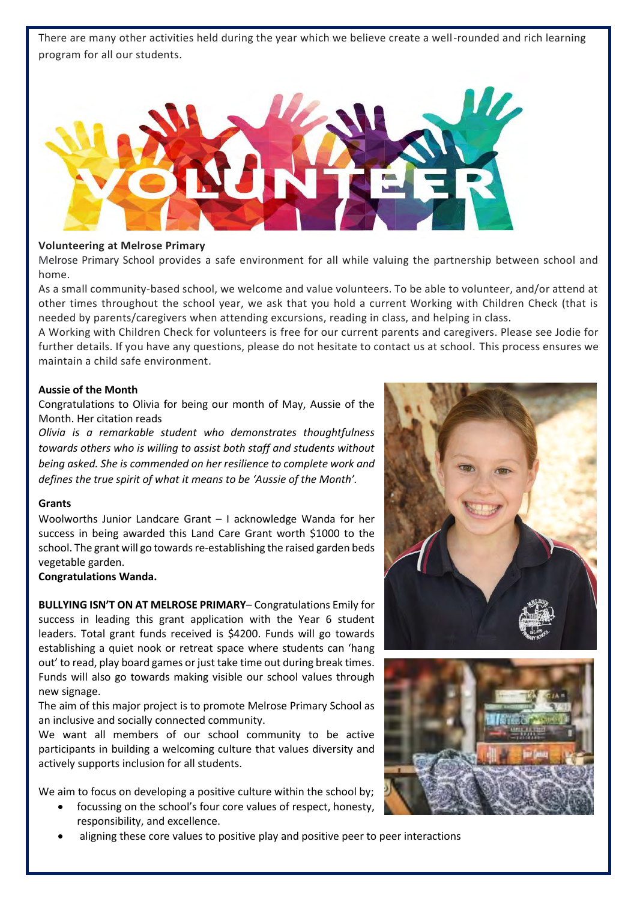There are many other activities held during the year which we believe create a well-rounded and rich learning program for all our students.



#### **Volunteering at Melrose Primary**

Melrose Primary School provides a safe environment for all while valuing the partnership between school and home.

As a small community-based school, we welcome and value volunteers. To be able to volunteer, and/or attend at other times throughout the school year, we ask that you hold a current Working with Children Check (that is needed by parents/caregivers when attending excursions, reading in class, and helping in class.

A Working with Children Check for volunteers is free for our current parents and caregivers. Please see Jodie for further details. If you have any questions, please do not hesitate to contact us at school. This process ensures we maintain a child safe environment.

#### **Aussie of the Month**

Congratulations to Olivia for being our month of May, Aussie of the Month. Her citation reads

*Olivia is a remarkable student who demonstrates thoughtfulness towards others who is willing to assist both staff and students without being asked. She is commended on her resilience to complete work and defines the true spirit of what it means to be 'Aussie of the Month'.* 

#### **Grants**

Woolworths Junior Landcare Grant – I acknowledge Wanda for her success in being awarded this Land Care Grant worth \$1000 to the school. The grant will go towards re-establishing the raised garden beds vegetable garden.

#### **Congratulations Wanda.**

**BULLYING ISN'T ON AT MELROSE PRIMARY**– Congratulations Emily for success in leading this grant application with the Year 6 student leaders. Total grant funds received is \$4200. Funds will go towards establishing a quiet nook or retreat space where students can 'hang out' to read, play board games or just take time out during break times. Funds will also go towards making visible our school values through new signage.

The aim of this major project is to promote Melrose Primary School as an inclusive and socially connected community.

We want all members of our school community to be active participants in building a welcoming culture that values diversity and actively supports inclusion for all students.

We aim to focus on developing a positive culture within the school by;

- focussing on the school's four core values of respect, honesty, responsibility, and excellence.
- aligning these core values to positive play and positive peer to peer interactions



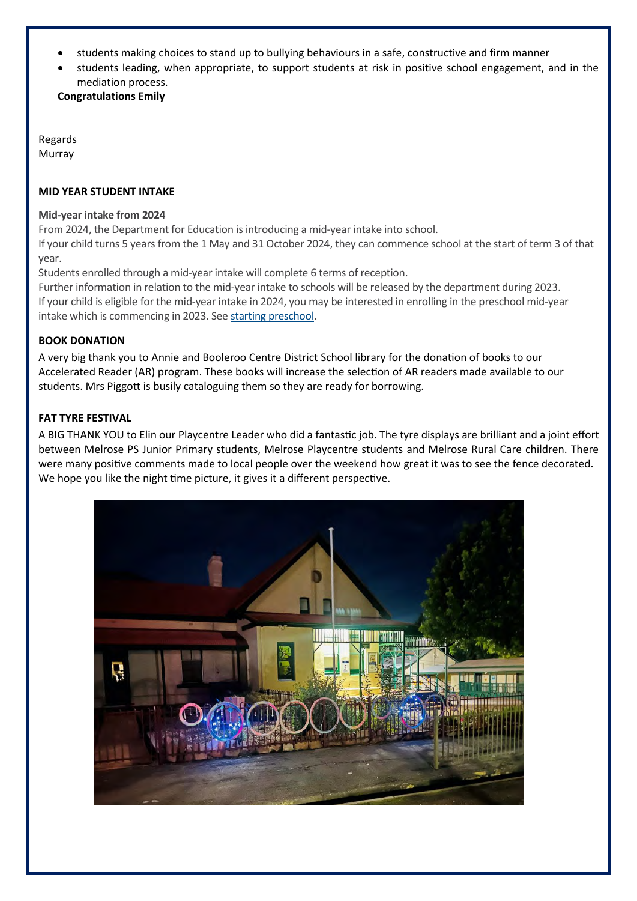- students making choices to stand up to bullying behaviours in a safe, constructive and firm manner
- students leading, when appropriate, to support students at risk in positive school engagement, and in the mediation process.

**Congratulations Emily**

Regards Murray

## **MID YEAR STUDENT INTAKE**

## **Mid-year intake from 2024**

From 2024, the Department for Education is introducing a mid-year intake into school.

If your child turns 5 years from the 1 May and 31 October 2024, they can commence school at the start of term 3 of that year.

Students enrolled through a mid-year intake will complete 6 terms of reception.

Further information in relation to the mid-year intake to schools will be released by the department during 2023. If your child is eligible for the mid-year intake in 2024, you may be interested in enrolling in the preschool mid-year intake which is commencing in 2023. See [starting preschool.](https://www.education.sa.gov.au/parents-and-families/enrol-school-or-preschool/preschool-and-kindergarten-enrolment/when-your-child-can-start-preschool)

## **BOOK DONATION**

A very big thank you to Annie and Booleroo Centre District School library for the donation of books to our Accelerated Reader (AR) program. These books will increase the selection of AR readers made available to our students. Mrs Piggott is busily cataloguing them so they are ready for borrowing.

## **FAT TYRE FESTIVAL**

A BIG THANK YOU to Elin our Playcentre Leader who did a fantastic job. The tyre displays are brilliant and a joint effort between Melrose PS Junior Primary students, Melrose Playcentre students and Melrose Rural Care children. There were many positive comments made to local people over the weekend how great it was to see the fence decorated. We hope you like the night time picture, it gives it a different perspective.